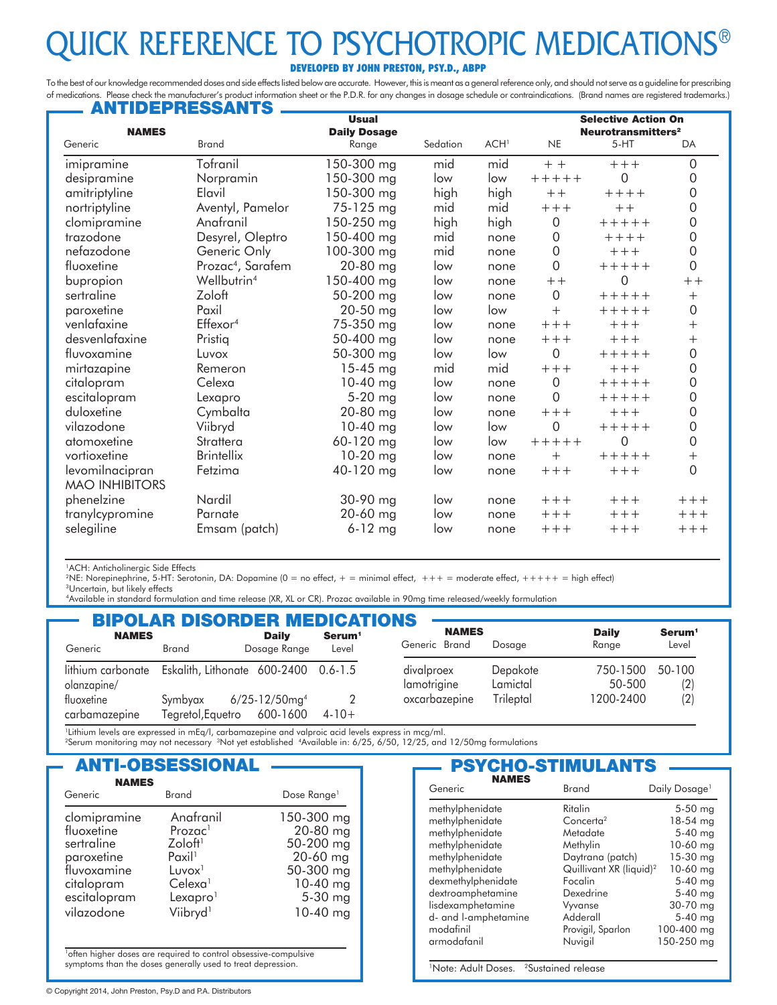# QUICK REFERENCE TO PSYCHOTROPIC MEDICATIONS® **DEVELOPED BY JOHN PRESTON, PSY.D., ABPP**

To the best of our knowledge recommended doses and side effects listed below are accurate. However, this is meant as a general reference only, and should not serve as a guideline for prescribing of medications. Please check the manufacturer's product information sheet or the P.D.R. for any changes in dosage schedule or contraindications. (Brand names are registered trademarks.)

#### ANTIDEPRESSANTS

| <b>NAMES</b>                             |                               | <b>Usual</b><br><b>Daily Dosage</b> |          |                  | <b>Selective Action On</b><br>Neurotransmitters <sup>2</sup> |             |                |  |
|------------------------------------------|-------------------------------|-------------------------------------|----------|------------------|--------------------------------------------------------------|-------------|----------------|--|
| Generic                                  | <b>Brand</b>                  | Range                               | Sedation | ACH <sup>1</sup> | <b>NE</b>                                                    | $5-HT$      | DA             |  |
| imipramine                               | Tofranil                      | 150-300 mg                          | mid      | mid              | $+ +$                                                        | $+++$       | $\overline{0}$ |  |
| desipramine                              | Norpramin                     | 150-300 mg                          | low      | low              | $+ + + + +$                                                  | $\Omega$    | 0              |  |
| amitriptyline                            | Elavil                        | 150-300 mg                          | high     | high             | $++$                                                         | $++++$      | $\Omega$       |  |
| nortriptyline                            | Aventyl, Pamelor              | 75-125 mg                           | mid      | mid              | $+++$                                                        | $++$        | 0              |  |
| clomipramine                             | Anafranil                     | 150-250 mg                          | high     | high             | $\overline{0}$                                               | $+ + + + +$ | 0              |  |
| trazodone                                | Desyrel, Oleptro              | 150-400 mg                          | mid      | none             | 0                                                            | $++++$      | $\Omega$       |  |
| nefazodone                               | Generic Only                  | 100-300 mg                          | mid      | none             | 0                                                            | $+++$       | 0              |  |
| fluoxetine                               | Prozac <sup>4</sup> , Sarafem | 20-80 mg                            | low      | none             | 0                                                            | $+++++$     | $\overline{0}$ |  |
| bupropion                                | Wellbutrin <sup>4</sup>       | 150-400 mg                          | low      | none             | $++$                                                         | $\Omega$    | $++$           |  |
| sertraline                               | Zoloft                        | 50-200 mg                           | low      | none             | $\mathbf 0$                                                  | $+++++$     | $+$            |  |
| paroxetine                               | Paxil                         | 20-50 mg                            | low      | low              | $^{+}$                                                       | $+ + + + +$ | 0              |  |
| venlafaxine                              | Effexor <sup>4</sup>          | 75-350 mg                           | low      | none             | $+++$                                                        | $+++$       | $+$            |  |
| desvenlafaxine                           | Pristig                       | 50-400 mg                           | low      | none             | $+++$                                                        | $+++$       | $+$            |  |
| fluvoxamine                              | Luvox                         | 50-300 mg                           | low      | low              | 0                                                            | $+ + + + +$ | 0              |  |
| mirtazapine                              | Remeron                       | 15-45 mg                            | mid      | mid              | $+++$                                                        | $+++$       | $\Omega$       |  |
| citalopram                               | Celexa                        | $10-40$ mg                          | low      | none             | $\overline{0}$                                               | $+ + + + +$ | 0              |  |
| escitalopram                             | Lexapro                       | $5-20$ mg                           | low      | none             | 0                                                            | $+ + + + +$ | 0              |  |
| duloxetine                               | Cymbalta                      | 20-80 mg                            | low      | none             | $+++$                                                        | $+++$       | 0              |  |
| vilazodone                               | Viibryd                       | 10-40 mg                            | low      | low              | 0                                                            | $+++++$     | 0              |  |
| atomoxetine                              | Strattera                     | 60-120 mg                           | low      | low              | $+++++$                                                      | $\Omega$    | 0              |  |
| vortioxetine                             | <b>Brintellix</b>             | $10-20$ mg                          | low      | none             | $+$                                                          | $+ + + + +$ | $^{+}$         |  |
| levomilnacipran<br><b>MAO INHIBITORS</b> | Fetzima                       | 40-120 mg                           | low      | none             | $+++$                                                        | $+++$       | $\overline{0}$ |  |
| phenelzine                               | Nardil                        | $30-90$ mg                          | low      | none             | $+++$                                                        | $+++$       | $+++$          |  |
| tranylcypromine                          | Parnate                       | 20-60 mg                            | low      | none             | $+ + +$                                                      | $+ + +$     | $+++$          |  |
| selegiline                               | Emsam (patch)                 | $6 - 12$ mg                         | low      | none             | $+++$                                                        | $+++$       | $+++$          |  |

<sup>1</sup>ACH: Anticholinergic Side Effects

2NE: Norepinephrine, 5-HT: Serotonin, DA: Dopamine (0 = no effect, + = minimal effect, +++ = moderate effect, +++++ = high effect)

3Uncertain, but likely effects <sup>4</sup>Available in standard formulation and time release (XR, XL or CR). Prozac available in 90mg time released/weekly formulation

|                                  |                             | <b>BIPOLAR DISORDER MEDICATIONS</b>        |                             |                               |                      |                       |                             |
|----------------------------------|-----------------------------|--------------------------------------------|-----------------------------|-------------------------------|----------------------|-----------------------|-----------------------------|
| <b>NAMES</b><br>Generic          | Brand                       | <b>Daily</b><br>Dosage Range               | Serum <sup>1</sup><br>Level | <b>NAMES</b><br>Generic Brand | Dosage               | <b>Daily</b><br>Range | Serum <sup>1</sup><br>Level |
| lithium carbonate<br>olanzapine/ |                             | Eskalith, Lithonate 600-2400 0.6-1.5       |                             | divalproex<br>lamotrigine     | Depakote<br>Lamictal | 750-1500<br>50-500    | 50-100<br>(2)               |
| fluoxetine<br>carbamazepine      | Symbyax<br>Tegretol,Equetro | $6/25 - 12/50$ mg <sup>4</sup><br>600-1600 | $4 - 10 +$                  | oxcarbazepine                 | Trileptal            | 1200-2400             | (2)                         |

<sup>1</sup>Lithium levels are expressed in mEq/l, carbamazepine and valproic acid levels express in mcg/ml.  $^2$ Serum monitoring may not necessary  $^3$ Not yet established  $^4$ Available in: 6/25, 6/50, 12/25, and 12/50mg formulations

## ANTI-OBSESSIONAL

| <b>NAMES</b>                                                                                                      |                                                                                                                                                       |                                                                                                         |
|-------------------------------------------------------------------------------------------------------------------|-------------------------------------------------------------------------------------------------------------------------------------------------------|---------------------------------------------------------------------------------------------------------|
| Generic                                                                                                           | <b>Brand</b>                                                                                                                                          | Dose Range <sup>1</sup>                                                                                 |
| clomipramine<br>fluoxetine<br>sertraline<br>paroxetine<br>fluvoxamine<br>citalopram<br>escitalopram<br>vilazodone | Anafranil<br>Prozac <sup>1</sup><br>$Zoloft^1$<br>Paxil <sup>1</sup><br>Luvox <sup>1</sup><br>Celexal<br>Lexapro <sup>1</sup><br>Viibryd <sup>1</sup> | 150-300 mg<br>20-80 mg<br>50-200 mg<br>$20-60$ mg<br>50-300 mg<br>$10-40$ mg<br>$5-30$ mg<br>$10-40$ mg |
|                                                                                                                   | <sup>1</sup> often higher doses are required to control obsessive-compulsive                                                                          |                                                                                                         |

|              | <b>PSYCHO-STIMULANTS -</b> |  |
|--------------|----------------------------|--|
| <b>NAMES</b> |                            |  |
|              |                            |  |

| <b>Brand</b>          | Daily Dosage <sup>1</sup>           |
|-----------------------|-------------------------------------|
| Ritalin               | $5-50$ mg                           |
| Concerta <sup>2</sup> | 18-54 mg                            |
| Metadate              | $5-40$ mg                           |
| Methylin              | $10-60$ mg                          |
| Daytrana (patch)      | $15-30$ mg                          |
|                       | 10-60 mg                            |
| Focalin               | $5-40$ mg                           |
| Dexedrine             | $5-40$ mg                           |
| Vyvanse               | $30-70$ mg                          |
| Adderall              | $5-40$ mg                           |
| Provigil, Sparlon     | 100-400 mg                          |
| Nuvigil               | 150-250 mg                          |
|                       | Quillivant XR (liquid) <sup>2</sup> |

<sup>1</sup>Note: Adult Doses. <sup>2</sup>Sustained release